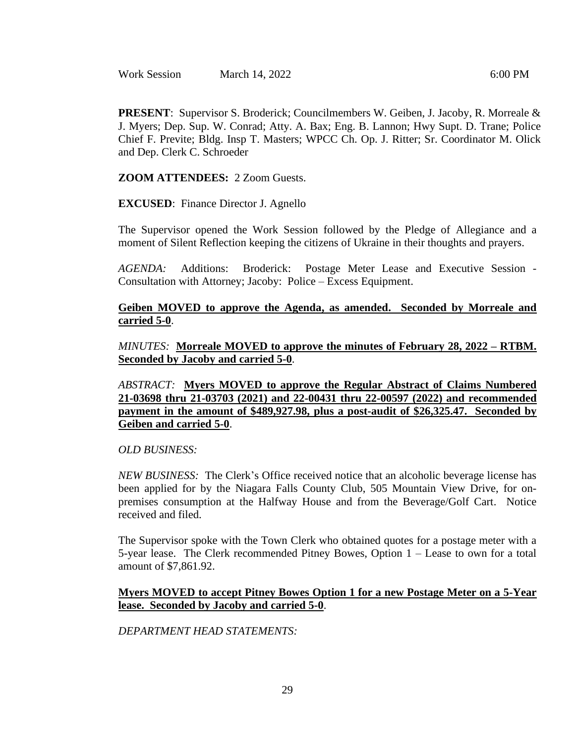Work Session March 14, 2022 6:00 PM

**PRESENT**: Supervisor S. Broderick; Councilmembers W. Geiben, J. Jacoby, R. Morreale & J. Myers; Dep. Sup. W. Conrad; Atty. A. Bax; Eng. B. Lannon; Hwy Supt. D. Trane; Police Chief F. Previte; Bldg. Insp T. Masters; WPCC Ch. Op. J. Ritter; Sr. Coordinator M. Olick and Dep. Clerk C. Schroeder

**ZOOM ATTENDEES:** 2 Zoom Guests.

**EXCUSED**: Finance Director J. Agnello

The Supervisor opened the Work Session followed by the Pledge of Allegiance and a moment of Silent Reflection keeping the citizens of Ukraine in their thoughts and prayers.

*AGENDA:* Additions: Broderick: Postage Meter Lease and Executive Session - Consultation with Attorney; Jacoby: Police – Excess Equipment.

### **Geiben MOVED to approve the Agenda, as amended. Seconded by Morreale and carried 5-0**.

*MINUTES:* **Morreale MOVED to approve the minutes of February 28, 2022 – RTBM. Seconded by Jacoby and carried 5-0**.

*ABSTRACT:* **Myers MOVED to approve the Regular Abstract of Claims Numbered 21-03698 thru 21-03703 (2021) and 22-00431 thru 22-00597 (2022) and recommended payment in the amount of \$489,927.98, plus a post-audit of \$26,325.47. Seconded by Geiben and carried 5-0**.

*OLD BUSINESS:* 

*NEW BUSINESS:* The Clerk's Office received notice that an alcoholic beverage license has been applied for by the Niagara Falls County Club, 505 Mountain View Drive, for onpremises consumption at the Halfway House and from the Beverage/Golf Cart. Notice received and filed.

The Supervisor spoke with the Town Clerk who obtained quotes for a postage meter with a 5-year lease. The Clerk recommended Pitney Bowes, Option 1 – Lease to own for a total amount of \$7,861.92.

#### **Myers MOVED to accept Pitney Bowes Option 1 for a new Postage Meter on a 5-Year lease. Seconded by Jacoby and carried 5-0**.

*DEPARTMENT HEAD STATEMENTS:*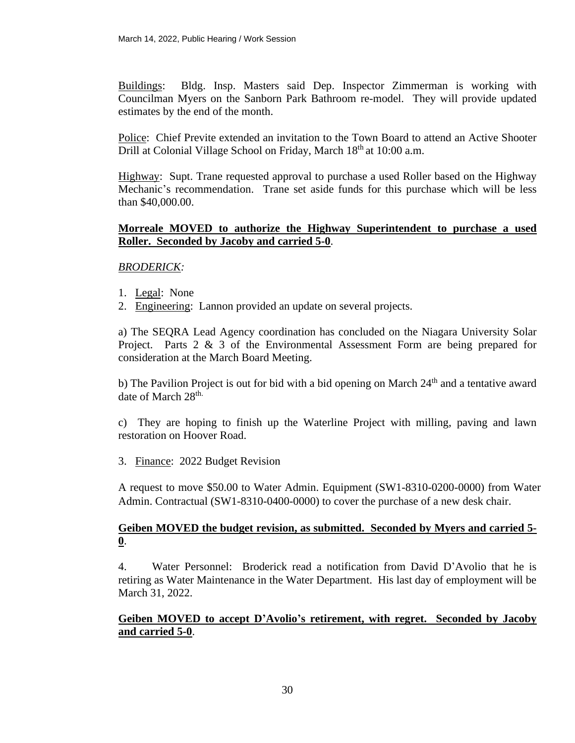Buildings: Bldg. Insp. Masters said Dep. Inspector Zimmerman is working with Councilman Myers on the Sanborn Park Bathroom re-model. They will provide updated estimates by the end of the month.

Police: Chief Previte extended an invitation to the Town Board to attend an Active Shooter Drill at Colonial Village School on Friday, March 18<sup>th</sup> at 10:00 a.m.

Highway: Supt. Trane requested approval to purchase a used Roller based on the Highway Mechanic's recommendation. Trane set aside funds for this purchase which will be less than \$40,000.00.

### **Morreale MOVED to authorize the Highway Superintendent to purchase a used Roller. Seconded by Jacoby and carried 5-0**.

## *BRODERICK:*

- 1. Legal: None
- 2. Engineering: Lannon provided an update on several projects.

a) The SEQRA Lead Agency coordination has concluded on the Niagara University Solar Project. Parts 2 & 3 of the Environmental Assessment Form are being prepared for consideration at the March Board Meeting.

b) The Pavilion Project is out for bid with a bid opening on March  $24<sup>th</sup>$  and a tentative award date of March 28<sup>th.</sup>

c) They are hoping to finish up the Waterline Project with milling, paving and lawn restoration on Hoover Road.

3. Finance: 2022 Budget Revision

A request to move \$50.00 to Water Admin. Equipment (SW1-8310-0200-0000) from Water Admin. Contractual (SW1-8310-0400-0000) to cover the purchase of a new desk chair.

## **Geiben MOVED the budget revision, as submitted. Seconded by Myers and carried 5- 0**.

4. Water Personnel: Broderick read a notification from David D'Avolio that he is retiring as Water Maintenance in the Water Department. His last day of employment will be March 31, 2022.

## **Geiben MOVED to accept D'Avolio's retirement, with regret. Seconded by Jacoby and carried 5-0**.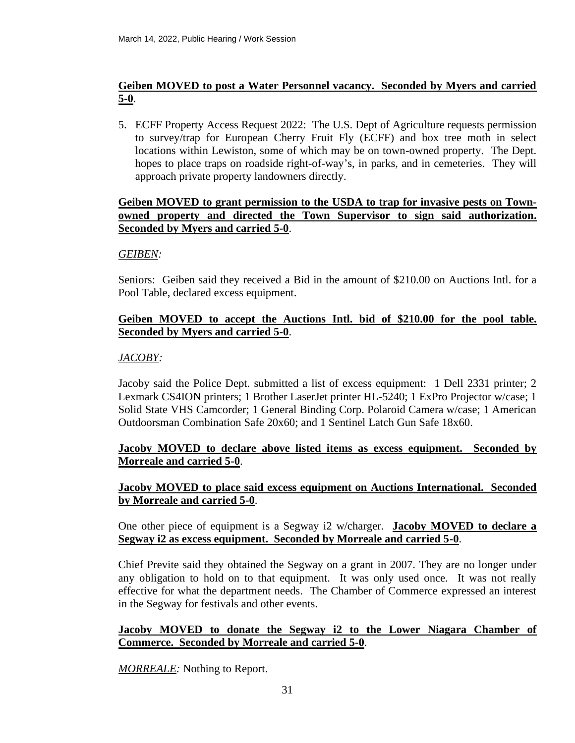# **Geiben MOVED to post a Water Personnel vacancy. Seconded by Myers and carried 5-0**.

5. ECFF Property Access Request 2022: The U.S. Dept of Agriculture requests permission to survey/trap for European Cherry Fruit Fly (ECFF) and box tree moth in select locations within Lewiston, some of which may be on town-owned property. The Dept. hopes to place traps on roadside right-of-way's, in parks, and in cemeteries. They will approach private property landowners directly.

### **Geiben MOVED to grant permission to the USDA to trap for invasive pests on Townowned property and directed the Town Supervisor to sign said authorization. Seconded by Myers and carried 5-0**.

### *GEIBEN:*

Seniors: Geiben said they received a Bid in the amount of \$210.00 on Auctions Intl. for a Pool Table, declared excess equipment.

## **Geiben MOVED to accept the Auctions Intl. bid of \$210.00 for the pool table. Seconded by Myers and carried 5-0**.

## *JACOBY:*

Jacoby said the Police Dept. submitted a list of excess equipment: 1 Dell 2331 printer; 2 Lexmark CS4ION printers; 1 Brother LaserJet printer HL-5240; 1 ExPro Projector w/case; 1 Solid State VHS Camcorder; 1 General Binding Corp. Polaroid Camera w/case; 1 American Outdoorsman Combination Safe 20x60; and 1 Sentinel Latch Gun Safe 18x60.

## **Jacoby MOVED to declare above listed items as excess equipment. Seconded by Morreale and carried 5-0**.

## **Jacoby MOVED to place said excess equipment on Auctions International. Seconded by Morreale and carried 5-0**.

One other piece of equipment is a Segway i2 w/charger. **Jacoby MOVED to declare a Segway i2 as excess equipment. Seconded by Morreale and carried 5-0**.

Chief Previte said they obtained the Segway on a grant in 2007. They are no longer under any obligation to hold on to that equipment. It was only used once. It was not really effective for what the department needs. The Chamber of Commerce expressed an interest in the Segway for festivals and other events.

## **Jacoby MOVED to donate the Segway i2 to the Lower Niagara Chamber of Commerce. Seconded by Morreale and carried 5-0**.

*MORREALE:* Nothing to Report.